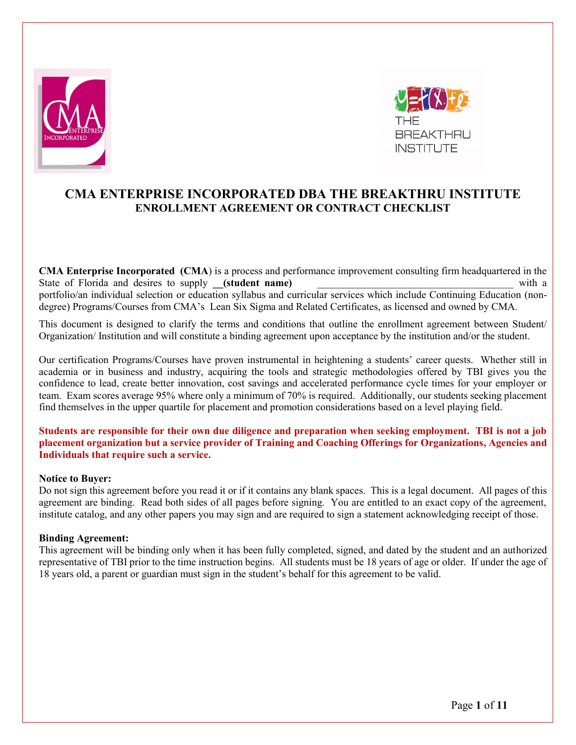



# **CMA ENTERPRISE INCORPORATED DBA THE BREAKTHRU INSTITUTE ENROLLMENT AGREEMENT OR CONTRACT CHECKLIST**

**CMA Enterprise Incorporated (CMA**) is a process and performance improvement consulting firm headquartered in the State of Florida and desires to supply **\_\_(student name)** \_\_\_\_\_\_\_\_\_\_\_\_\_\_\_\_\_\_\_\_\_\_\_\_\_\_\_\_\_\_\_\_\_\_\_\_\_\_ with a portfolio/an individual selection or education syllabus and curricular services which include Continuing Education (nondegree) Programs/Courses from CMA's Lean Six Sigma and Related Certificates, as licensed and owned by CMA.

This document is designed to clarify the terms and conditions that outline the enrollment agreement between Student/ Organization/ Institution and will constitute a binding agreement upon acceptance by the institution and/or the student.

Our certification Programs/Courses have proven instrumental in heightening a students' career quests. Whether still in academia or in business and industry, acquiring the tools and strategic methodologies offered by TBI gives you the confidence to lead, create better innovation, cost savings and accelerated performance cycle times for your employer or team. Exam scores average 95% where only a minimum of 70% is required. Additionally, our students seeking placement find themselves in the upper quartile for placement and promotion considerations based on a level playing field.

**Students are responsible for their own due diligence and preparation when seeking employment. TBI is not a job placement organization but a service provider of Training and Coaching Offerings for Organizations, Agencies and Individuals that require such a service.**

## **Notice to Buyer:**

Do not sign this agreement before you read it or if it contains any blank spaces. This is a legal document. All pages of this agreement are binding. Read both sides of all pages before signing. You are entitled to an exact copy of the agreement, institute catalog, and any other papers you may sign and are required to sign a statement acknowledging receipt of those.

#### **Binding Agreement:**

This agreement will be binding only when it has been fully completed, signed, and dated by the student and an authorized representative of TBI prior to the time instruction begins. All students must be 18 years of age or older. If under the age of 18 years old, a parent or guardian must sign in the student's behalf for this agreement to be valid.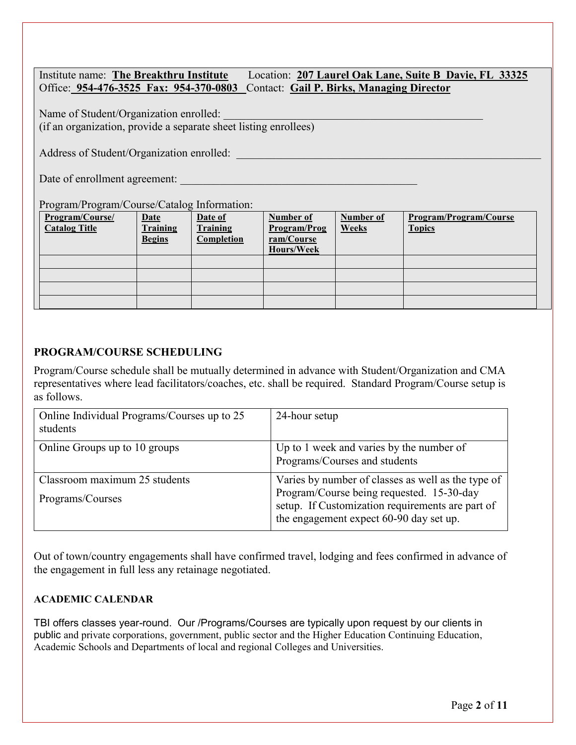| Institute name: The Breakthru Institute | Location: 207 Laurel Oak Lane, Suite B Davie, FL 33325                           |
|-----------------------------------------|----------------------------------------------------------------------------------|
|                                         | Office: 954-476-3525 Fax: 954-370-0803 Contact: Gail P. Birks, Managing Director |

Name of Student/Organization enrolled: (if an organization, provide a separate sheet listing enrollees)

Address of Student/Organization enrolled:

Date of enrollment agreement:

# Program/Program/Course/Catalog Information:

| Program/Course/<br><b>Catalog Title</b> | <b>Date</b><br><b>Training</b><br><b>Begins</b> | Date of<br>Training<br>Completion | Number of<br>Program/Prog<br>ram/Course<br><b>Hours/Week</b> | Number of<br><b>Weeks</b> | Program/Program/Course<br><b>Topics</b> |
|-----------------------------------------|-------------------------------------------------|-----------------------------------|--------------------------------------------------------------|---------------------------|-----------------------------------------|
|                                         |                                                 |                                   |                                                              |                           |                                         |
|                                         |                                                 |                                   |                                                              |                           |                                         |
|                                         |                                                 |                                   |                                                              |                           |                                         |
|                                         |                                                 |                                   |                                                              |                           |                                         |

## **PROGRAM/COURSE SCHEDULING**

Program/Course schedule shall be mutually determined in advance with Student/Organization and CMA representatives where lead facilitators/coaches, etc. shall be required. Standard Program/Course setup is as follows.

| Online Individual Programs/Courses up to 25<br>students | 24-hour setup                                                                                                                                                                                  |
|---------------------------------------------------------|------------------------------------------------------------------------------------------------------------------------------------------------------------------------------------------------|
| Online Groups up to 10 groups                           | Up to 1 week and varies by the number of<br>Programs/Courses and students                                                                                                                      |
| Classroom maximum 25 students<br>Programs/Courses       | Varies by number of classes as well as the type of<br>Program/Course being requested. 15-30-day<br>setup. If Customization requirements are part of<br>the engagement expect 60-90 day set up. |

Out of town/country engagements shall have confirmed travel, lodging and fees confirmed in advance of the engagement in full less any retainage negotiated.

## **ACADEMIC CALENDAR**

TBI offers classes year-round. Our /Programs/Courses are typically upon request by our clients in public and private corporations, government, public sector and the Higher Education Continuing Education, Academic Schools and Departments of local and regional Colleges and Universities.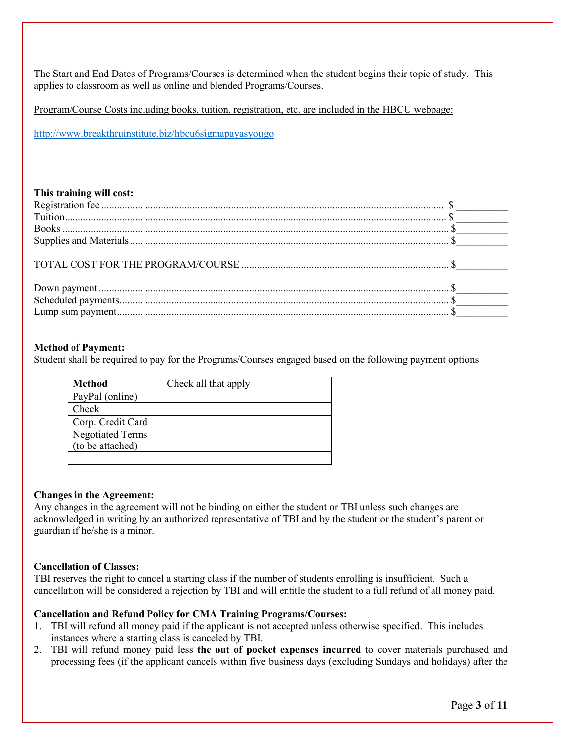The Start and End Dates of Programs/Courses is determined when the student begins their topic of study. This applies to classroom as well as online and blended Programs/Courses.

Program/Course Costs including books, tuition, registration, etc. are included in the HBCU webpage:

<http://www.breakthruinstitute.biz/hbcu6sigmapayasyougo>

## **This training will cost:**

## **Method of Payment:**

Student shall be required to pay for the Programs/Courses engaged based on the following payment options

| <b>Method</b>           | Check all that apply |
|-------------------------|----------------------|
| PayPal (online)         |                      |
| Check                   |                      |
| Corp. Credit Card       |                      |
| <b>Negotiated Terms</b> |                      |
| (to be attached)        |                      |
|                         |                      |

#### **Changes in the Agreement:**

Any changes in the agreement will not be binding on either the student or TBI unless such changes are acknowledged in writing by an authorized representative of TBI and by the student or the student's parent or guardian if he/she is a minor.

## **Cancellation of Classes:**

TBI reserves the right to cancel a starting class if the number of students enrolling is insufficient. Such a cancellation will be considered a rejection by TBI and will entitle the student to a full refund of all money paid.

## **Cancellation and Refund Policy for CMA Training Programs/Courses:**

- 1. TBI will refund all money paid if the applicant is not accepted unless otherwise specified. This includes instances where a starting class is canceled by TBI.
- 2. TBI will refund money paid less **the out of pocket expenses incurred** to cover materials purchased and processing fees (if the applicant cancels within five business days (excluding Sundays and holidays) after the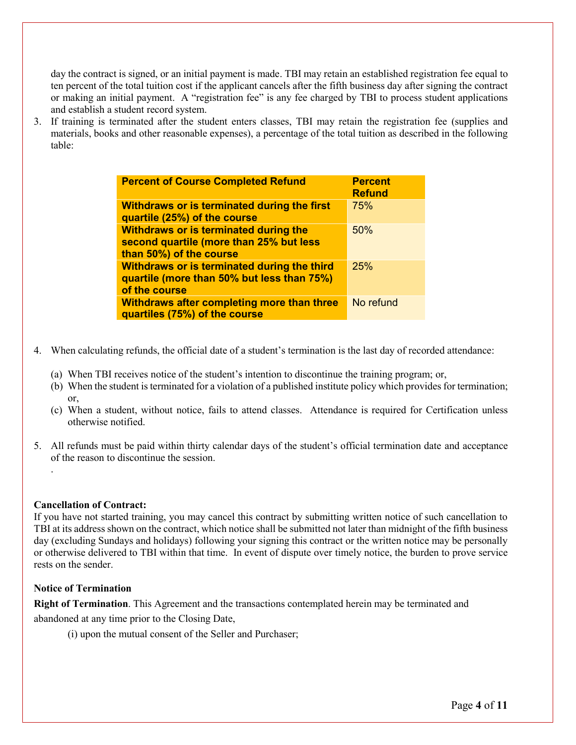day the contract is signed, or an initial payment is made. TBI may retain an established registration fee equal to ten percent of the total tuition cost if the applicant cancels after the fifth business day after signing the contract or making an initial payment. A "registration fee" is any fee charged by TBI to process student applications and establish a student record system.

3. If training is terminated after the student enters classes, TBI may retain the registration fee (supplies and materials, books and other reasonable expenses), a percentage of the total tuition as described in the following table:

| <b>Percent of Course Completed Refund</b>                                                                   | <b>Percent</b><br><b>Refund</b> |
|-------------------------------------------------------------------------------------------------------------|---------------------------------|
| Withdraws or is terminated during the first<br>quartile (25%) of the course                                 | 75%                             |
| Withdraws or is terminated during the<br>second quartile (more than 25% but less<br>than 50%) of the course | 50%                             |
| Withdraws or is terminated during the third<br>quartile (more than 50% but less than 75%)<br>of the course  | 25%                             |
| <b>Withdraws after completing more than three</b><br>quartiles (75%) of the course                          | No refund                       |

- 4. When calculating refunds, the official date of a student's termination is the last day of recorded attendance:
	- (a) When TBI receives notice of the student's intention to discontinue the training program; or,
	- (b) When the student is terminated for a violation of a published institute policy which provides for termination; or,
	- (c) When a student, without notice, fails to attend classes. Attendance is required for Certification unless otherwise notified.
- 5. All refunds must be paid within thirty calendar days of the student's official termination date and acceptance of the reason to discontinue the session.

#### **Cancellation of Contract:**

.

If you have not started training, you may cancel this contract by submitting written notice of such cancellation to TBI at its address shown on the contract, which notice shall be submitted not later than midnight of the fifth business day (excluding Sundays and holidays) following your signing this contract or the written notice may be personally or otherwise delivered to TBI within that time. In event of dispute over timely notice, the burden to prove service rests on the sender.

#### **Notice of Termination**

**Right of Termination**. This Agreement and the transactions contemplated herein may be terminated and

abandoned at any time prior to the Closing Date,

(i) upon the mutual consent of the Seller and Purchaser;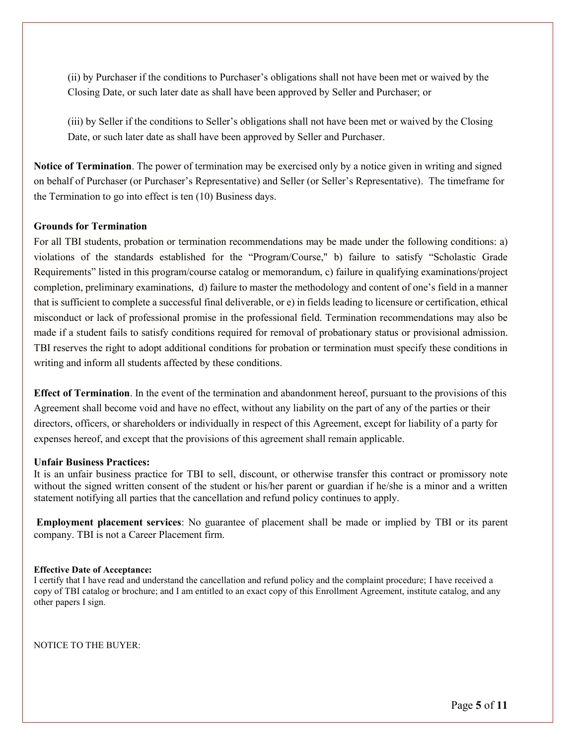(ii) by Purchaser if the conditions to Purchaser's obligations shall not have been met or waived by the Closing Date, or such later date as shall have been approved by Seller and Purchaser; or

(iii) by Seller if the conditions to Seller's obligations shall not have been met or waived by the Closing Date, or such later date as shall have been approved by Seller and Purchaser.

**Notice of Termination**. The power of termination may be exercised only by a notice given in writing and signed on behalf of Purchaser (or Purchaser's Representative) and Seller (or Seller's Representative). The timeframe for the Termination to go into effect is ten (10) Business days.

## **Grounds for Termination**

For all TBI students, probation or termination recommendations may be made under the following conditions: a) violations of the standards established for the "Program/Course," b) failure to satisfy "Scholastic Grade Requirements" listed in this program/course catalog or memorandum, c) failure in qualifying examinations/project completion, preliminary examinations, d) failure to master the methodology and content of one's field in a manner that is sufficient to complete a successful final deliverable, or e) in fields leading to licensure or certification, ethical misconduct or lack of professional promise in the professional field. Termination recommendations may also be made if a student fails to satisfy conditions required for removal of probationary status or provisional admission. TBI reserves the right to adopt additional conditions for probation or termination must specify these conditions in writing and inform all students affected by these conditions.

**Effect of Termination**. In the event of the termination and abandonment hereof, pursuant to the provisions of this Agreement shall become void and have no effect, without any liability on the part of any of the parties or their directors, officers, or shareholders or individually in respect of this Agreement, except for liability of a party for expenses hereof, and except that the provisions of this agreement shall remain applicable.

#### **Unfair Business Practices:**

It is an unfair business practice for TBI to sell, discount, or otherwise transfer this contract or promissory note without the signed written consent of the student or his/her parent or guardian if he/she is a minor and a written statement notifying all parties that the cancellation and refund policy continues to apply.

**Employment placement services**: No guarantee of placement shall be made or implied by TBI or its parent company. TBI is not a Career Placement firm.

#### **Effective Date of Acceptance:**

I certify that I have read and understand the cancellation and refund policy and the complaint procedure; I have received a copy of TBI catalog or brochure; and I am entitled to an exact copy of this Enrollment Agreement, institute catalog, and any other papers I sign.

NOTICE TO THE BUYER: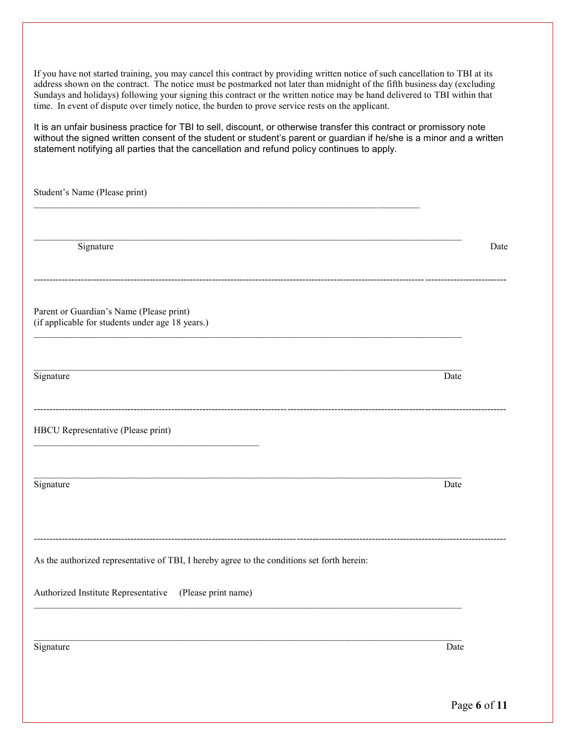If you have not started training, you may cancel this contract by providing written notice of such cancellation to TBI at its address shown on the contract. The notice must be postmarked not later than midnight of the fifth business day (excluding Sundays and holidays) following your signing this contract or the written notice may be hand delivered to TBI within that time. In event of dispute over timely notice, the burden to prove service rests on the applicant.

It is an unfair business practice for TBI to sell, discount, or otherwise transfer this contract or promissory note without the signed written consent of the student or student's parent or guardian if he/she is a minor and a written statement notifying all parties that the cancellation and refund policy continues to apply.

Student's Name (Please print)  $\mathcal{L}_\mathcal{L} = \{ \mathcal{L}_\mathcal{L} = \{ \mathcal{L}_\mathcal{L} = \{ \mathcal{L}_\mathcal{L} = \{ \mathcal{L}_\mathcal{L} = \{ \mathcal{L}_\mathcal{L} = \{ \mathcal{L}_\mathcal{L} = \{ \mathcal{L}_\mathcal{L} = \{ \mathcal{L}_\mathcal{L} = \{ \mathcal{L}_\mathcal{L} = \{ \mathcal{L}_\mathcal{L} = \{ \mathcal{L}_\mathcal{L} = \{ \mathcal{L}_\mathcal{L} = \{ \mathcal{L}_\mathcal{L} = \{ \mathcal{L}_\mathcal{$ Signature Date Date of the Date of the United States of the United States of the Date of the Date of the United States of the United States of the United States of the United States of the United States of the United State ------------------------------------------------------------------------------------------------------------------------------------------------------- Parent or Guardian's Name (Please print) (if applicable for students under age 18 years.)  $\mathcal{L}_\mathcal{L} = \{ \mathcal{L}_\mathcal{L} = \{ \mathcal{L}_\mathcal{L} = \{ \mathcal{L}_\mathcal{L} = \{ \mathcal{L}_\mathcal{L} = \{ \mathcal{L}_\mathcal{L} = \{ \mathcal{L}_\mathcal{L} = \{ \mathcal{L}_\mathcal{L} = \{ \mathcal{L}_\mathcal{L} = \{ \mathcal{L}_\mathcal{L} = \{ \mathcal{L}_\mathcal{L} = \{ \mathcal{L}_\mathcal{L} = \{ \mathcal{L}_\mathcal{L} = \{ \mathcal{L}_\mathcal{L} = \{ \mathcal{L}_\mathcal{$ Signature Date Date of the Date of the United States of the United States of the Date of the Date of the United States of the United States of the United States of the United States of the United States of the United State ------------------------------------------------------------------------------------------------------------------------------------------------------- HBCU Representative (Please print) Signature Date **Date** Date of the Second State of the Second State of the Date of the Date of the Date of the Date of the Date of the Date of the Date of the Date of the Date of the Date of the Date of the Date of the Date ------------------------------------------------------------------------------------------------------------------------------------------------------- As the authorized representative of TBI, I hereby agree to the conditions set forth herein: Authorized Institute Representative (Please print name) Signature Date Date of the Date of the United States of the United States of the Date of the Date of the United States of the United States of the United States of the United States of the United States of the United State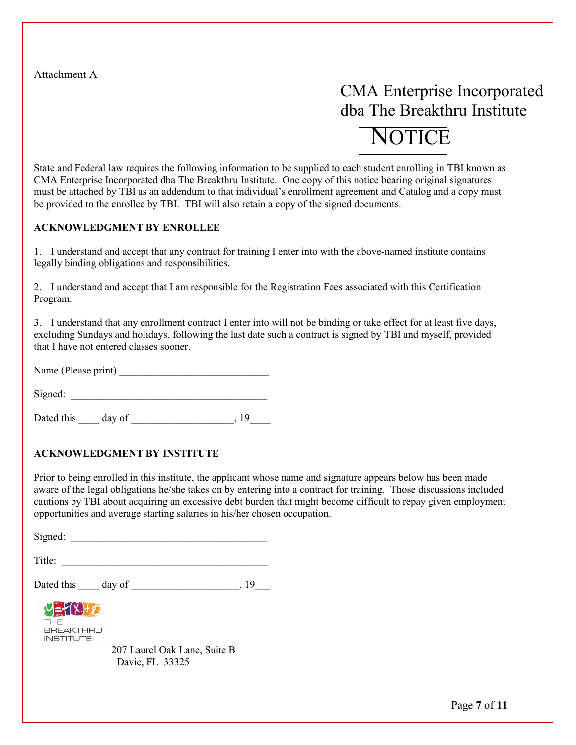Attachment A

# CMA Enterprise Incorporated dba The Breakthru Institute **NOTICE**

## State and Federal law requires the following information to be supplied to each student enrolling in TBI known as CMA Enterprise Incorporated dba The Breakthru Institute. One copy of this notice bearing original signatures must be attached by TBI as an addendum to that individual's enrollment agreement and Catalog and a copy must be provided to the enrollee by TBI. TBI will also retain a copy of the signed documents.

## **ACKNOWLEDGMENT BY ENROLLEE**

1. I understand and accept that any contract for training I enter into with the above-named institute contains legally binding obligations and responsibilities.

2. I understand and accept that I am responsible for the Registration Fees associated with this Certification Program.

3. I understand that any enrollment contract I enter into will not be binding or take effect for at least five days, excluding Sundays and holidays, following the last date such a contract is signed by TBI and myself, provided that I have not entered classes sooner.

Name (Please print) \_\_\_\_\_\_\_\_\_\_\_\_\_\_\_\_\_\_\_\_\_\_\_\_\_\_\_\_\_

 $Signed:$ 

Dated this day of the state of  $\frac{19}{2}$ 

## **ACKNOWLEDGMENT BY INSTITUTE**

Prior to being enrolled in this institute, the applicant whose name and signature appears below has been made aware of the legal obligations he/she takes on by entering into a contract for training. Those discussions included cautions by TBI about acquiring an excessive debt burden that might become difficult to repay given employment opportunities and average starting salaries in his/her chosen occupation.

Signed:

Title: \_\_\_\_\_\_\_\_\_\_\_\_\_\_\_\_\_\_\_\_\_\_\_\_\_\_\_\_\_\_\_\_\_\_\_\_\_\_\_\_

Dated this day of the state of  $\frac{19}{2}$ 

 $v = f(x) + e$ **THE BREAKTHRU INSTITUTE** 

> 207 Laurel Oak Lane, Suite B Davie, FL 33325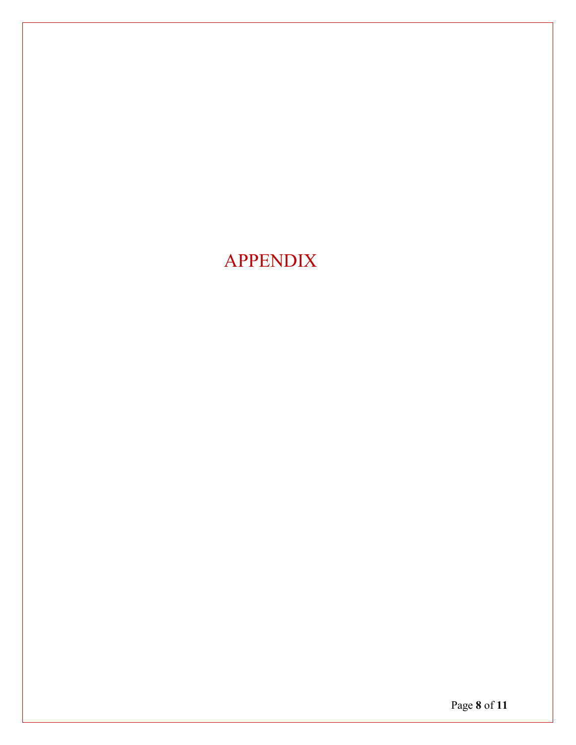# APPENDIX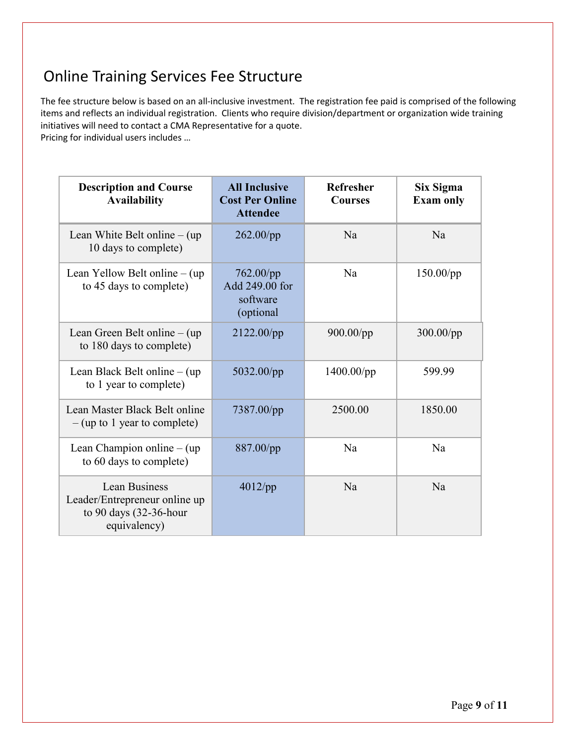# Online Training Services Fee Structure

The fee structure below is based on an all-inclusive investment. The registration fee paid is comprised of the following items and reflects an individual registration. Clients who require division/department or organization wide training initiatives will need to contact a CMA Representative for a quote.

Pricing for individual users includes …

| <b>Description and Course</b><br><b>Availability</b>                                        | <b>All Inclusive</b><br><b>Cost Per Online</b><br><b>Attendee</b> | <b>Refresher</b><br><b>Courses</b> | Six Sigma<br><b>Exam only</b> |
|---------------------------------------------------------------------------------------------|-------------------------------------------------------------------|------------------------------------|-------------------------------|
| Lean White Belt online $-$ (up)<br>10 days to complete)                                     | $262.00$ /pp                                                      | Na                                 | N <sub>a</sub>                |
| Lean Yellow Belt online $-$ (up<br>to 45 days to complete)                                  | $762.00$ /pp<br>Add 249.00 for<br>software<br>(optional)          | Na                                 | $150.00$ /pp                  |
| Lean Green Belt online $-$ (up)<br>to 180 days to complete)                                 | 2122.00/pp                                                        | 900.00/pp                          | $300.00$ /pp                  |
| Lean Black Belt online $-$ (up)<br>to 1 year to complete)                                   | 5032.00/pp                                                        | $1400.00$ /pp                      | 599.99                        |
| Lean Master Black Belt online<br>$-$ (up to 1 year to complete)                             | 7387.00/pp                                                        | 2500.00                            | 1850.00                       |
| Lean Champion online $-$ (up<br>to 60 days to complete)                                     | 887.00/pp                                                         | Na                                 | Na                            |
| Lean Business<br>Leader/Entrepreneur online up<br>to 90 days $(32-36$ -hour<br>equivalency) | $4012$ /pp                                                        | Na                                 | Na                            |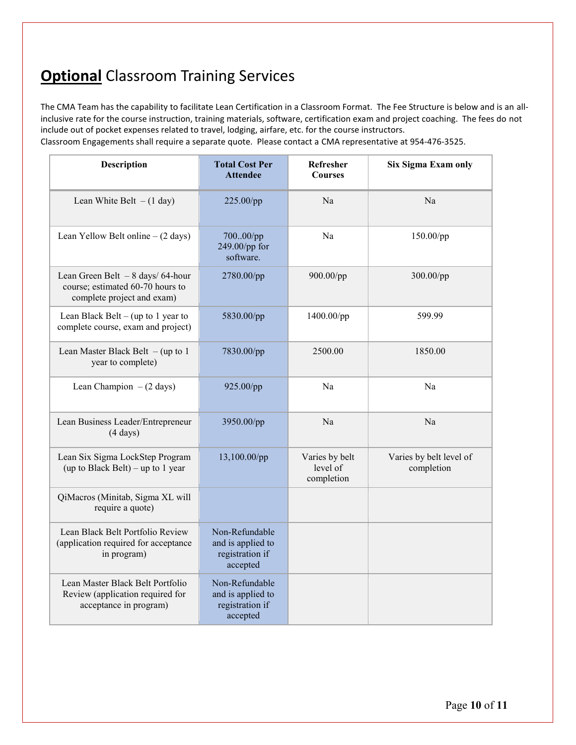# **Optional** Classroom Training Services

The CMA Team has the capability to facilitate Lean Certification in a Classroom Format. The Fee Structure is below and is an allinclusive rate for the course instruction, training materials, software, certification exam and project coaching. The fees do not include out of pocket expenses related to travel, lodging, airfare, etc. for the course instructors.

Classroom Engagements shall require a separate quote. Please contact a CMA representative at 954-476-3525.

| Description                                                                                         | <b>Total Cost Per</b><br><b>Attendee</b>                           | Refresher<br><b>Courses</b>              | Six Sigma Exam only                   |
|-----------------------------------------------------------------------------------------------------|--------------------------------------------------------------------|------------------------------------------|---------------------------------------|
| Lean White Belt $-(1 \text{ day})$                                                                  | 225.00/pp                                                          | Na                                       | Na                                    |
| Lean Yellow Belt online $- (2 \text{ days})$                                                        | 70000/pp<br>249.00/pp for<br>software.                             | Na                                       | 150.00/pp                             |
| Lean Green Belt $-8$ days/64-hour<br>course; estimated 60-70 hours to<br>complete project and exam) | 2780.00/pp                                                         | 900.00/pp                                | 300.00/pp                             |
| Lean Black Belt – (up to 1 year to<br>complete course, exam and project)                            | 5830.00/pp                                                         | 1400.00/pp                               | 599.99                                |
| Lean Master Black Belt $-$ (up to 1<br>year to complete)                                            | 7830.00/pp                                                         | 2500.00                                  | 1850.00                               |
| Lean Champion $-(2 \text{ days})$                                                                   | 925.00/pp                                                          | Na                                       | Na                                    |
| Lean Business Leader/Entrepreneur<br>$(4 \text{ days})$                                             | 3950.00/pp                                                         | Na                                       | Na                                    |
| Lean Six Sigma LockStep Program<br>(up to Black Belt) – up to 1 year                                | 13,100.00/pp                                                       | Varies by belt<br>level of<br>completion | Varies by belt level of<br>completion |
| QiMacros (Minitab, Sigma XL will<br>require a quote)                                                |                                                                    |                                          |                                       |
| Lean Black Belt Portfolio Review<br>(application required for acceptance<br>in program)             | Non-Refundable<br>and is applied to<br>registration if<br>accepted |                                          |                                       |
| Lean Master Black Belt Portfolio<br>Review (application required for<br>acceptance in program)      | Non-Refundable<br>and is applied to<br>registration if<br>accepted |                                          |                                       |